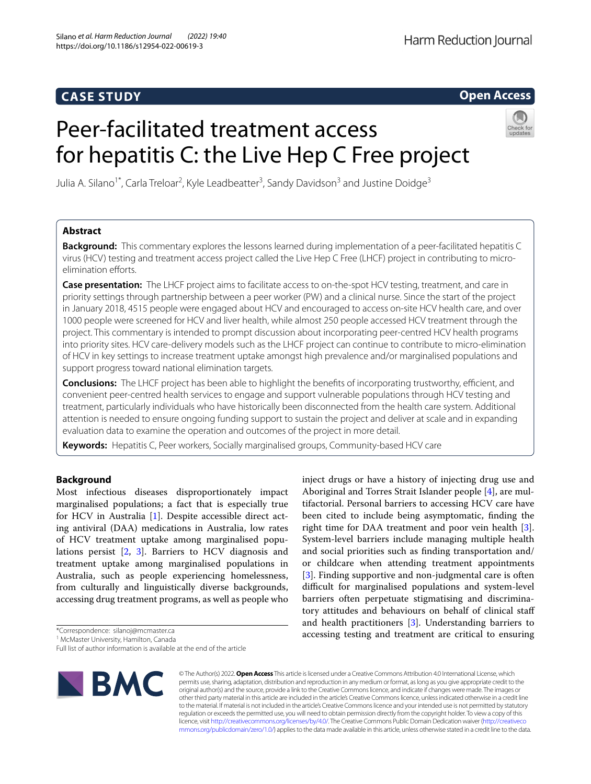# **CASE STUDY**

# **Open Access**

# Peer-facilitated treatment access for hepatitis C: the Live Hep C Free project



Julia A. Silano<sup>1\*</sup>, Carla Treloar<sup>2</sup>, Kyle Leadbeatter<sup>3</sup>, Sandy Davidson<sup>3</sup> and Justine Doidge<sup>3</sup>

# **Abstract**

**Background:** This commentary explores the lessons learned during implementation of a peer-facilitated hepatitis C virus (HCV) testing and treatment access project called the Live Hep C Free (LHCF) project in contributing to microelimination efforts.

**Case presentation:** The LHCF project aims to facilitate access to on-the-spot HCV testing, treatment, and care in priority settings through partnership between a peer worker (PW) and a clinical nurse. Since the start of the project in January 2018, 4515 people were engaged about HCV and encouraged to access on-site HCV health care, and over 1000 people were screened for HCV and liver health, while almost 250 people accessed HCV treatment through the project. This commentary is intended to prompt discussion about incorporating peer-centred HCV health programs into priority sites. HCV care-delivery models such as the LHCF project can continue to contribute to micro-elimination of HCV in key settings to increase treatment uptake amongst high prevalence and/or marginalised populations and support progress toward national elimination targets.

**Conclusions:** The LHCF project has been able to highlight the benefits of incorporating trustworthy, efficient, and convenient peer-centred health services to engage and support vulnerable populations through HCV testing and treatment, particularly individuals who have historically been disconnected from the health care system. Additional attention is needed to ensure ongoing funding support to sustain the project and deliver at scale and in expanding evaluation data to examine the operation and outcomes of the project in more detail.

**Keywords:** Hepatitis C, Peer workers, Socially marginalised groups, Community-based HCV care

# **Background**

Most infectious diseases disproportionately impact marginalised populations; a fact that is especially true for HCV in Australia [[1\]](#page-3-0). Despite accessible direct acting antiviral (DAA) medications in Australia, low rates of HCV treatment uptake among marginalised populations persist [[2,](#page-3-1) [3](#page-3-2)]. Barriers to HCV diagnosis and treatment uptake among marginalised populations in Australia, such as people experiencing homelessness, from culturally and linguistically diverse backgrounds, accessing drug treatment programs, as well as people who

\*Correspondence: silanoj@mcmaster.ca

Full list of author information is available at the end of the article



© The Author(s) 2022. **Open Access** This article is licensed under a Creative Commons Attribution 4.0 International License, which permits use, sharing, adaptation, distribution and reproduction in any medium or format, as long as you give appropriate credit to the original author(s) and the source, provide a link to the Creative Commons licence, and indicate if changes were made. The images or other third party material in this article are included in the article's Creative Commons licence, unless indicated otherwise in a credit line to the material. If material is not included in the article's Creative Commons licence and your intended use is not permitted by statutory regulation or exceeds the permitted use, you will need to obtain permission directly from the copyright holder. To view a copy of this licence, visit [http://creativecommons.org/licenses/by/4.0/.](http://creativecommons.org/licenses/by/4.0/) The Creative Commons Public Domain Dedication waiver ([http://creativeco](http://creativecommons.org/publicdomain/zero/1.0/) [mmons.org/publicdomain/zero/1.0/](http://creativecommons.org/publicdomain/zero/1.0/)) applies to the data made available in this article, unless otherwise stated in a credit line to the data.

inject drugs or have a history of injecting drug use and Aboriginal and Torres Strait Islander people [\[4\]](#page-3-3), are multifactorial. Personal barriers to accessing HCV care have been cited to include being asymptomatic, fnding the right time for DAA treatment and poor vein health [\[3](#page-3-2)]. System-level barriers include managing multiple health and social priorities such as fnding transportation and/ or childcare when attending treatment appointments [[3\]](#page-3-2). Finding supportive and non-judgmental care is often difficult for marginalised populations and system-level barriers often perpetuate stigmatising and discriminatory attitudes and behaviours on behalf of clinical staf and health practitioners [[3\]](#page-3-2). Understanding barriers to accessing testing and treatment are critical to ensuring

<sup>&</sup>lt;sup>1</sup> McMaster University, Hamilton, Canada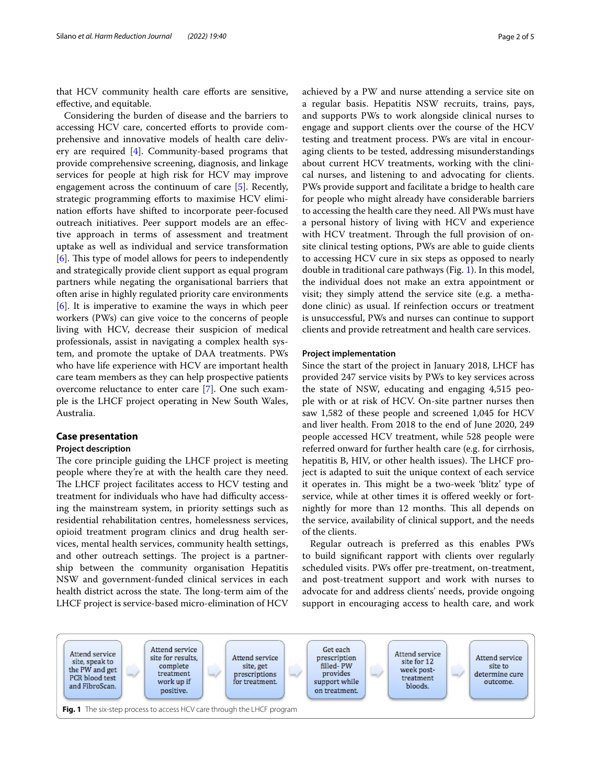that HCV community health care efforts are sensitive, efective, and equitable.

Considering the burden of disease and the barriers to accessing HCV care, concerted eforts to provide comprehensive and innovative models of health care delivery are required [\[4](#page-3-3)]. Community-based programs that provide comprehensive screening, diagnosis, and linkage services for people at high risk for HCV may improve engagement across the continuum of care [[5\]](#page-4-0). Recently, strategic programming eforts to maximise HCV elimination efforts have shifted to incorporate peer-focused outreach initiatives. Peer support models are an efective approach in terms of assessment and treatment uptake as well as individual and service transformation [[6\]](#page-4-1). This type of model allows for peers to independently and strategically provide client support as equal program partners while negating the organisational barriers that often arise in highly regulated priority care environments [[6\]](#page-4-1). It is imperative to examine the ways in which peer workers (PWs) can give voice to the concerns of people living with HCV, decrease their suspicion of medical professionals, assist in navigating a complex health system, and promote the uptake of DAA treatments. PWs who have life experience with HCV are important health care team members as they can help prospective patients overcome reluctance to enter care [\[7](#page-4-2)]. One such example is the LHCF project operating in New South Wales, Australia.

## **Case presentation**

## **Project description**

The core principle guiding the LHCF project is meeting people where they're at with the health care they need. The LHCF project facilitates access to HCV testing and treatment for individuals who have had difficulty accessing the mainstream system, in priority settings such as residential rehabilitation centres, homelessness services, opioid treatment program clinics and drug health services, mental health services, community health settings, and other outreach settings. The project is a partnership between the community organisation Hepatitis NSW and government-funded clinical services in each health district across the state. The long-term aim of the LHCF project is service-based micro-elimination of HCV achieved by a PW and nurse attending a service site on a regular basis. Hepatitis NSW recruits, trains, pays, and supports PWs to work alongside clinical nurses to engage and support clients over the course of the HCV testing and treatment process. PWs are vital in encouraging clients to be tested, addressing misunderstandings about current HCV treatments, working with the clinical nurses, and listening to and advocating for clients. PWs provide support and facilitate a bridge to health care for people who might already have considerable barriers to accessing the health care they need. All PWs must have a personal history of living with HCV and experience with HCV treatment. Through the full provision of onsite clinical testing options, PWs are able to guide clients to accessing HCV cure in six steps as opposed to nearly double in traditional care pathways (Fig. [1\)](#page-1-0). In this model, the individual does not make an extra appointment or visit; they simply attend the service site (e.g. a methadone clinic) as usual. If reinfection occurs or treatment is unsuccessful, PWs and nurses can continue to support clients and provide retreatment and health care services.

### **Project implementation**

Since the start of the project in January 2018, LHCF has provided 247 service visits by PWs to key services across the state of NSW, educating and engaging 4,515 people with or at risk of HCV. On-site partner nurses then saw 1,582 of these people and screened 1,045 for HCV and liver health. From 2018 to the end of June 2020, 249 people accessed HCV treatment, while 528 people were referred onward for further health care (e.g. for cirrhosis, hepatitis B, HIV, or other health issues). The LHCF project is adapted to suit the unique context of each service it operates in. This might be a two-week 'blitz' type of service, while at other times it is offered weekly or fortnightly for more than 12 months. This all depends on the service, availability of clinical support, and the needs of the clients.

Regular outreach is preferred as this enables PWs to build signifcant rapport with clients over regularly scheduled visits. PWs offer pre-treatment, on-treatment, and post-treatment support and work with nurses to advocate for and address clients' needs, provide ongoing support in encouraging access to health care, and work

<span id="page-1-0"></span>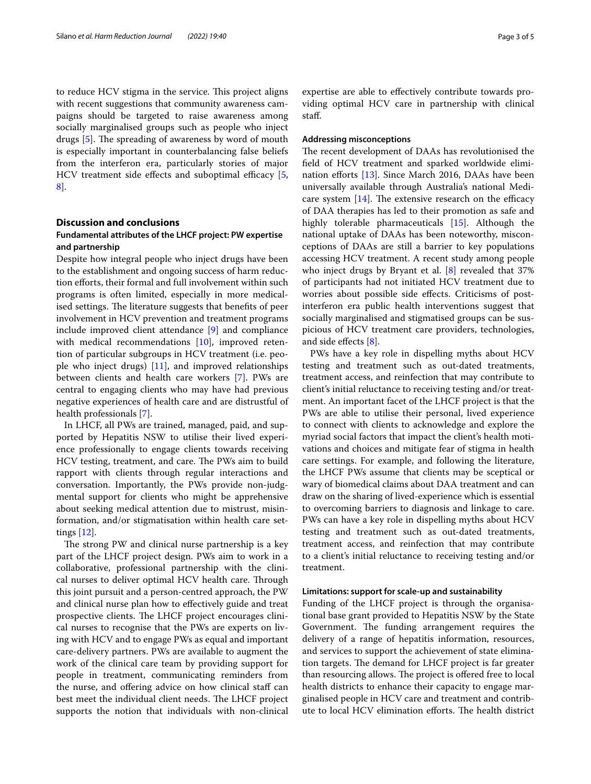to reduce HCV stigma in the service. This project aligns with recent suggestions that community awareness campaigns should be targeted to raise awareness among socially marginalised groups such as people who inject drugs [[5\]](#page-4-0). The spreading of awareness by word of mouth is especially important in counterbalancing false beliefs from the interferon era, particularly stories of major HCV treatment side effects and suboptimal efficacy  $[5, 1]$  $[5, 1]$ [8\]](#page-4-3).

# **Discussion and conclusions**

# **Fundamental attributes of the LHCF project: PW expertise and partnership**

Despite how integral people who inject drugs have been to the establishment and ongoing success of harm reduction efforts, their formal and full involvement within such programs is often limited, especially in more medicalised settings. The literature suggests that benefits of peer involvement in HCV prevention and treatment programs include improved client attendance [\[9](#page-4-4)] and compliance with medical recommendations [\[10](#page-4-5)], improved retention of particular subgroups in HCV treatment (i.e. people who inject drugs) [[11\]](#page-4-6), and improved relationships between clients and health care workers [\[7](#page-4-2)]. PWs are central to engaging clients who may have had previous negative experiences of health care and are distrustful of health professionals [\[7](#page-4-2)].

In LHCF, all PWs are trained, managed, paid, and supported by Hepatitis NSW to utilise their lived experience professionally to engage clients towards receiving HCV testing, treatment, and care. The PWs aim to build rapport with clients through regular interactions and conversation. Importantly, the PWs provide non-judgmental support for clients who might be apprehensive about seeking medical attention due to mistrust, misinformation, and/or stigmatisation within health care settings [\[12\]](#page-4-7).

The strong PW and clinical nurse partnership is a key part of the LHCF project design. PWs aim to work in a collaborative, professional partnership with the clinical nurses to deliver optimal HCV health care. Through this joint pursuit and a person-centred approach, the PW and clinical nurse plan how to efectively guide and treat prospective clients. The LHCF project encourages clinical nurses to recognise that the PWs are experts on living with HCV and to engage PWs as equal and important care-delivery partners. PWs are available to augment the work of the clinical care team by providing support for people in treatment, communicating reminders from the nurse, and offering advice on how clinical staff can best meet the individual client needs. The LHCF project supports the notion that individuals with non-clinical expertise are able to efectively contribute towards providing optimal HCV care in partnership with clinical staf.

## **Addressing misconceptions**

The recent development of DAAs has revolutionised the feld of HCV treatment and sparked worldwide elimi-nation efforts [[13](#page-4-8)]. Since March 2016, DAAs have been universally available through Australia's national Medicare system  $[14]$  $[14]$ . The extensive research on the efficacy of DAA therapies has led to their promotion as safe and highly tolerable pharmaceuticals [\[15](#page-4-10)]. Although the national uptake of DAAs has been noteworthy, misconceptions of DAAs are still a barrier to key populations accessing HCV treatment. A recent study among people who inject drugs by Bryant et al. [[8\]](#page-4-3) revealed that 37% of participants had not initiated HCV treatment due to worries about possible side efects. Criticisms of postinterferon era public health interventions suggest that socially marginalised and stigmatised groups can be suspicious of HCV treatment care providers, technologies, and side efects [[8](#page-4-3)].

PWs have a key role in dispelling myths about HCV testing and treatment such as out-dated treatments, treatment access, and reinfection that may contribute to client's initial reluctance to receiving testing and/or treatment. An important facet of the LHCF project is that the PWs are able to utilise their personal, lived experience to connect with clients to acknowledge and explore the myriad social factors that impact the client's health motivations and choices and mitigate fear of stigma in health care settings. For example, and following the literature, the LHCF PWs assume that clients may be sceptical or wary of biomedical claims about DAA treatment and can draw on the sharing of lived-experience which is essential to overcoming barriers to diagnosis and linkage to care. PWs can have a key role in dispelling myths about HCV testing and treatment such as out-dated treatments, treatment access, and reinfection that may contribute to a client's initial reluctance to receiving testing and/or treatment.

## **Limitations: support for scale‑up and sustainability**

Funding of the LHCF project is through the organisational base grant provided to Hepatitis NSW by the State Government. The funding arrangement requires the delivery of a range of hepatitis information, resources, and services to support the achievement of state elimination targets. The demand for LHCF project is far greater than resourcing allows. The project is offered free to local health districts to enhance their capacity to engage marginalised people in HCV care and treatment and contribute to local HCV elimination efforts. The health district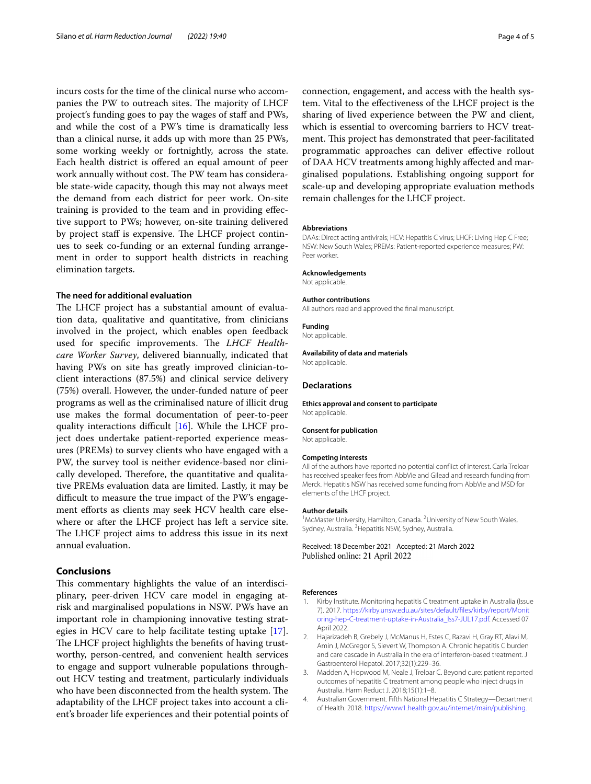incurs costs for the time of the clinical nurse who accompanies the PW to outreach sites. The majority of LHCF project's funding goes to pay the wages of staf and PWs, and while the cost of a PW's time is dramatically less than a clinical nurse, it adds up with more than 25 PWs, some working weekly or fortnightly, across the state. Each health district is ofered an equal amount of peer work annually without cost. The PW team has considerable state-wide capacity, though this may not always meet the demand from each district for peer work. On-site training is provided to the team and in providing efective support to PWs; however, on-site training delivered by project staff is expensive. The LHCF project continues to seek co-funding or an external funding arrangement in order to support health districts in reaching elimination targets.

# **The need for additional evaluation**

The LHCF project has a substantial amount of evaluation data, qualitative and quantitative, from clinicians involved in the project, which enables open feedback used for specific improvements. The *LHCF Healthcare Worker Survey*, delivered biannually, indicated that having PWs on site has greatly improved clinician-toclient interactions (87.5%) and clinical service delivery (75%) overall. However, the under-funded nature of peer programs as well as the criminalised nature of illicit drug use makes the formal documentation of peer-to-peer quality interactions difficult  $[16]$  $[16]$ . While the LHCF project does undertake patient-reported experience measures (PREMs) to survey clients who have engaged with a PW, the survey tool is neither evidence-based nor clinically developed. Therefore, the quantitative and qualitative PREMs evaluation data are limited. Lastly, it may be difficult to measure the true impact of the PW's engagement efforts as clients may seek HCV health care elsewhere or after the LHCF project has left a service site. The LHCF project aims to address this issue in its next annual evaluation.

# **Conclusions**

This commentary highlights the value of an interdisciplinary, peer-driven HCV care model in engaging atrisk and marginalised populations in NSW. PWs have an important role in championing innovative testing strategies in HCV care to help facilitate testing uptake [\[17](#page-4-12)]. The LHCF project highlights the benefits of having trustworthy, person-centred, and convenient health services to engage and support vulnerable populations throughout HCV testing and treatment, particularly individuals who have been disconnected from the health system. The adaptability of the LHCF project takes into account a client's broader life experiences and their potential points of connection, engagement, and access with the health system. Vital to the efectiveness of the LHCF project is the sharing of lived experience between the PW and client, which is essential to overcoming barriers to HCV treatment. This project has demonstrated that peer-facilitated programmatic approaches can deliver efective rollout of DAA HCV treatments among highly afected and marginalised populations. Establishing ongoing support for scale-up and developing appropriate evaluation methods remain challenges for the LHCF project.

#### **Abbreviations**

DAAs: Direct acting antivirals; HCV: Hepatitis C virus; LHCF: Living Hep C Free; NSW: New South Wales; PREMs: Patient-reported experience measures; PW: Peer worker.

#### **Acknowledgements**

Not applicable.

#### **Author contributions**

All authors read and approved the fnal manuscript.

**Funding**

Not applicable.

#### **Availability of data and materials**

Not applicable.

#### **Declarations**

**Ethics approval and consent to participate** Not applicable.

#### **Consent for publication**

Not applicable.

#### **Competing interests**

All of the authors have reported no potential confict of interest. Carla Treloar has received speaker fees from AbbVie and Gilead and research funding from Merck. Hepatitis NSW has received some funding from AbbVie and MSD for elements of the LHCF project.

#### **Author details**

<sup>1</sup> McMaster University, Hamilton, Canada. <sup>2</sup> University of New South Wales, Sydney, Australia. <sup>3</sup> Hepatitis NSW, Sydney, Australia.

Received: 18 December 2021 Accepted: 21 March 2022 Published online: 21 April 2022

#### **References**

- <span id="page-3-0"></span>1. Kirby Institute. Monitoring hepatitis C treatment uptake in Australia (Issue 7). 2017. [https://kirby.unsw.edu.au/sites/default/fles/kirby/report/Monit](https://kirby.unsw.edu.au/sites/default/files/kirby/report/Monitoring-hep-C-treatment-uptake-in-Australia_Iss7-JUL17.pdf) [oring-hep-C-treatment-uptake-in-Australia\\_Iss7-JUL17.pdf](https://kirby.unsw.edu.au/sites/default/files/kirby/report/Monitoring-hep-C-treatment-uptake-in-Australia_Iss7-JUL17.pdf). Accessed 07 April 2022.
- <span id="page-3-1"></span>2. Hajarizadeh B, Grebely J, McManus H, Estes C, Razavi H, Gray RT, Alavi M, Amin J, McGregor S, Sievert W, Thompson A. Chronic hepatitis C burden and care cascade in Australia in the era of interferon-based treatment. J Gastroenterol Hepatol. 2017;32(1):229–36.
- <span id="page-3-2"></span>3. Madden A, Hopwood M, Neale J, Treloar C. Beyond cure: patient reported outcomes of hepatitis C treatment among people who inject drugs in Australia. Harm Reduct J. 2018;15(1):1–8.
- <span id="page-3-3"></span>4. Australian Government. Fifth National Hepatitis C Strategy—Department of Health. 2018. [https://www1.health.gov.au/internet/main/publishing.](https://www1.health.gov.au/internet/main/publishing.nsf/Content/ohp-bbvs1/$File/Hep-C-Fifth-Nat-Strategy-2018-22.pdf)